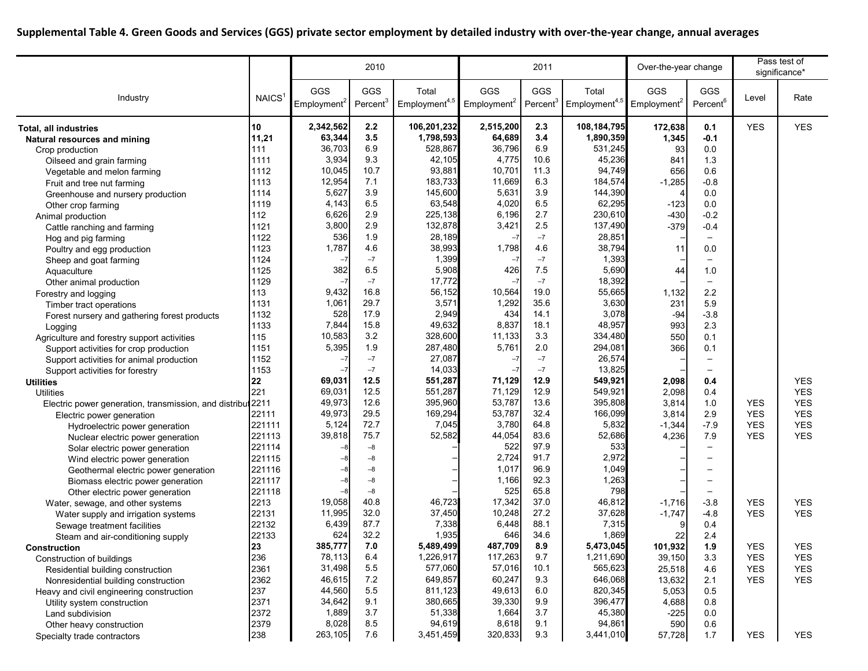|                                                             |                    | 2010                                  |                |                                  |                                | 2011                        |                                    | Over-the-year change           |                             | Pass test of<br>significance* |            |
|-------------------------------------------------------------|--------------------|---------------------------------------|----------------|----------------------------------|--------------------------------|-----------------------------|------------------------------------|--------------------------------|-----------------------------|-------------------------------|------------|
| Industry                                                    | NAICS <sup>1</sup> | <b>GGS</b><br>Employment <sup>2</sup> | GGS<br>Percent | Total<br>Employment <sup>4</sup> | GGS<br>Employment <sup>2</sup> | GGS<br>Percent <sup>3</sup> | Total<br>Employment <sup>4,5</sup> | GGS<br>Employment <sup>2</sup> | GGS<br>Percent <sup>6</sup> | Level                         | Rate       |
| <b>Total, all industries</b>                                | 10                 | 2,342,562                             | 2.2            | 106,201,232                      | 2,515,200                      | 2.3                         | 108,184,795                        | 172,638                        | 0.1                         | <b>YES</b>                    | <b>YES</b> |
| Natural resources and mining                                | 11,21              | 63,344                                | 3.5            | 1,798,593                        | 64,689                         | 3.4                         | 1,890,359                          | 1,345                          | $-0.1$                      |                               |            |
| Crop production                                             | 111                | 36,703                                | 6.9            | 528,867                          | 36,796                         | 6.9                         | 531,245                            | 93                             | 0.0                         |                               |            |
| Oilseed and grain farming                                   | 1111               | 3,934                                 | 9.3            | 42,105                           | 4,775                          | 10.6                        | 45,236                             | 841                            | 1.3                         |                               |            |
| Vegetable and melon farming                                 | 1112               | 10,045                                | 10.7           | 93,881                           | 10,701                         | 11.3                        | 94,749                             | 656                            | 0.6                         |                               |            |
| Fruit and tree nut farming                                  | 1113               | 12,954                                | 7.1            | 183,733                          | 11,669                         | 6.3                         | 184,574                            | $-1,285$                       | $-0.8$                      |                               |            |
| Greenhouse and nursery production                           | 1114               | 5,627                                 | 3.9            | 145,600                          | 5,631                          | 3.9                         | 144,390                            |                                | 0.0                         |                               |            |
| Other crop farming                                          | 1119               | 4,143                                 | 6.5            | 63,548                           | 4,020                          | 6.5                         | 62,295                             | $-123$                         | 0.0                         |                               |            |
| Animal production                                           | 112                | 6,626                                 | 2.9            | 225,138                          | 6,196                          | 2.7                         | 230,610                            | $-430$                         | $-0.2$                      |                               |            |
| Cattle ranching and farming                                 | 1121               | 3,800                                 | 2.9            | 132,878                          | 3,421                          | 2.5                         | 137,490                            | $-379$                         | $-0.4$                      |                               |            |
| Hog and pig farming                                         | 1122               | 536                                   | 1.9            | 28,189                           |                                | $-7$                        | 28,851                             |                                | $\overline{\phantom{0}}$    |                               |            |
| Poultry and egg production                                  | 1123               | 1,787                                 | 4.6            | 38,993                           | 1,798                          | 4.6                         | 38,794                             | 11                             | 0.0                         |                               |            |
| Sheep and goat farming                                      | 1124               |                                       | $-7$           | 1,399                            |                                | $-7$                        | 1,393                              |                                |                             |                               |            |
| Aquaculture                                                 | 1125               | 382                                   | 6.5            | 5,908                            | 426                            | 7.5                         | 5,690                              | 44                             | 1.0                         |                               |            |
| Other animal production                                     | 1129               | $-7$                                  | $-7$           | 17,772                           |                                | $-7$                        | 18,392                             |                                | $\overline{\phantom{0}}$    |                               |            |
| Forestry and logging                                        | 113                | 9,432                                 | 16.8           | 56,152                           | 10,564                         | 19.0                        | 55,665                             | 1,132                          | 2.2                         |                               |            |
| Timber tract operations                                     | 1131               | 1,061                                 | 29.7           | 3,571                            | 1,292                          | 35.6                        | 3,630                              | 231                            | 5.9                         |                               |            |
| Forest nursery and gathering forest products                | 1132               | 528                                   | 17.9           | 2,949                            | 434                            | 14.1                        | 3,078                              | $-94$                          | $-3.8$                      |                               |            |
| Logging                                                     | 1133               | 7,844                                 | 15.8           | 49,632                           | 8,837                          | 18.1                        | 48,957                             | 993                            | 2.3                         |                               |            |
| Agriculture and forestry support activities                 | 115                | 10,583                                | 3.2            | 328,600                          | 11,133                         | 3.3                         | 334,480                            | 550                            | 0.1                         |                               |            |
| Support activities for crop production                      | 1151               | 5,395                                 | 1.9            | 287,480                          | 5,761                          | 2.0                         | 294,081                            | 366                            | 0.1                         |                               |            |
| Support activities for animal production                    | 1152               | $-7$                                  | $-7$           | 27,087                           |                                | $-7$                        | 26,574                             |                                |                             |                               |            |
| Support activities for forestry                             | 1153               | $-7$                                  | $-7$           | 14,033                           |                                | $-7$                        | 13,825                             |                                |                             |                               |            |
| <b>Utilities</b>                                            | 22                 | 69,031                                | 12.5           | 551,287                          | 71,129                         | 12.9                        | 549,921                            | 2,098                          | 0.4                         |                               | <b>YES</b> |
| <b>Utilities</b>                                            | 221                | 69,031                                | 12.5           | 551,287                          | 71,129                         | 12.9                        | 549,921                            | 2,098                          | 0.4                         |                               | <b>YES</b> |
| Electric power generation, transmission, and distribut 2211 |                    | 49,973                                | 12.6           | 395,960                          | 53,787                         | 13.6                        | 395,808                            | 3,814                          | 1.0                         | <b>YES</b>                    | <b>YES</b> |
| Electric power generation                                   | 22111              | 49,973                                | 29.5           | 169,294                          | 53,787                         | 32.4                        | 166,099                            | 3,814                          | 2.9                         | <b>YES</b>                    | <b>YES</b> |
| Hydroelectric power generation                              | 221111             | 5,124                                 | 72.7           | 7,045                            | 3,780                          | 64.8                        | 5,832                              | $-1,344$                       | $-7.9$                      | <b>YES</b>                    | <b>YES</b> |
| Nuclear electric power generation                           | 221113             | 39,818                                | 75.7           | 52,582                           | 44,054                         | 83.6                        | 52,686                             | 4,236                          | 7.9                         | <b>YES</b>                    | <b>YES</b> |
| Solar electric power generation                             | 221114             |                                       | $-8$           |                                  | 522                            | 97.9                        | 533                                |                                |                             |                               |            |
| Wind electric power generation                              | 221115             |                                       | $-8$           |                                  | 2,724                          | 91.7                        | 2,972                              |                                |                             |                               |            |
| Geothermal electric power generation                        | 221116             |                                       | $-8$           |                                  | 1,017                          | 96.9                        | 1,049                              |                                | —                           |                               |            |
| Biomass electric power generation                           | 221117             | $-8$                                  | $-8$           |                                  | 1,166                          | 92.3                        | 1,263                              |                                | —                           |                               |            |
| Other electric power generation                             | 221118             |                                       | $-8$           |                                  | 525                            | 65.8                        | 798                                |                                |                             |                               |            |
| Water, sewage, and other systems                            | 2213               | 19,058                                | 40.8           | 46,723                           | 17,342                         | 37.0                        | 46,812                             | $-1,716$                       | -3.8                        | <b>YES</b>                    | <b>YES</b> |
| Water supply and irrigation systems                         | 22131              | 11,995                                | 32.0           | 37,450                           | 10,248                         | 27.2                        | 37,628                             | $-1,747$                       | $-4.8$                      | <b>YES</b>                    | <b>YES</b> |
| Sewage treatment facilities                                 | 22132              | 6,439                                 | 87.7           | 7,338                            | 6,448                          | 88.1                        | 7,315                              | 9                              | 0.4                         |                               |            |
| Steam and air-conditioning supply                           | 22133              | 624                                   | 32.2           | 1,935                            | 646                            | 34.6                        | 1,869                              | 22                             | 2.4                         |                               |            |
| <b>Construction</b>                                         | 23                 | 385,777                               | 7.0            | 5,489,499                        | 487,709                        | 8.9                         | 5,473,045                          | 101,932                        | 1.9                         | YES                           | YES.       |
| Construction of buildings                                   | 236                | 78,113                                | 6.4            | 1,226,917                        | 117,263                        | 9.7                         | 1,211,690                          | 39,150                         | 3.3                         | <b>YES</b>                    | <b>YES</b> |
| Residential building construction                           | 2361               | 31,498                                | 55             | 577,060                          | 57,016                         | 10.1                        | 565,623                            | 25,518                         | 4.6                         | <b>YES</b>                    | <b>YES</b> |
| Nonresidential building construction                        | 2362               | 46,615                                | 7.2            | 649,857                          | 60,247                         | 9.3                         | 646,068                            | 13,632                         | 2.1                         | <b>YES</b>                    | <b>YES</b> |
| Heavy and civil engineering construction                    | 237                | 44,560                                | 5.5            | 811,123                          | 49,613                         | 6.0                         | 820,345                            | 5,053                          | 0.5                         |                               |            |
| Utility system construction                                 | 2371               | 34,642                                | 9.1            | 380,665                          | 39,330                         | 9.9                         | 396,477                            | 4,688                          | 0.8                         |                               |            |
| Land subdivision                                            | 2372               | 1,889                                 | 3.7            | 51,338                           | 1,664                          | 3.7                         | 45,380                             | $-225$                         | 0.0                         |                               |            |
| Other heavy construction                                    | 2379               | 8,028                                 | 8.5            | 94,619                           | 8,618                          | 9.1                         | 94,861                             | 590                            | 0.6                         |                               |            |
| Specialty trade contractors                                 | 238                | 263,105                               | 7.6            | 3,451,459                        | 320,833                        | 9.3                         | 3,441,010                          | 57,728                         | 1.7                         | <b>YES</b>                    | <b>YES</b> |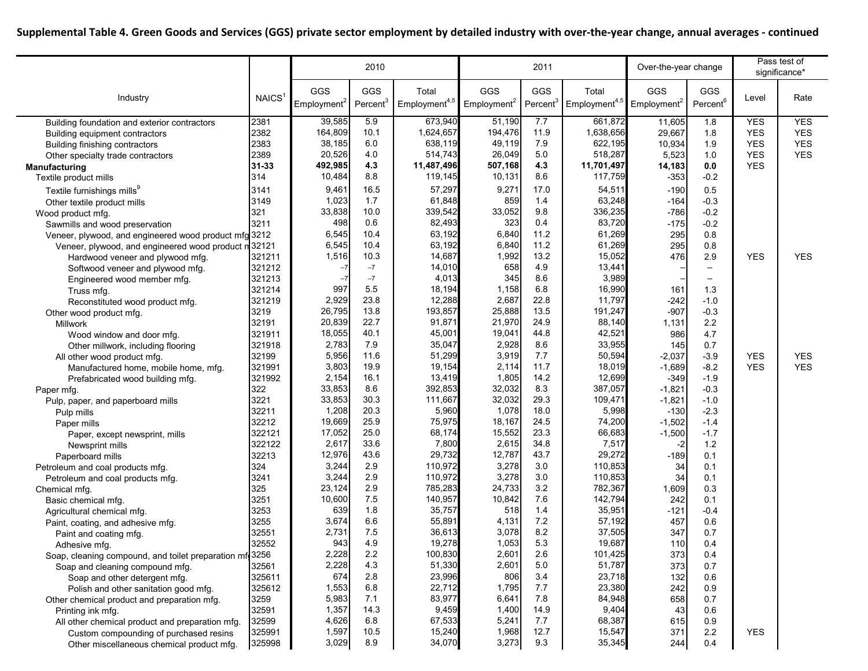|                                                         |                    | 2010                                  |                             |                                    |                                | 2011                        |                                    | Over-the-year change           |                             | Pass test of<br>significance* |            |
|---------------------------------------------------------|--------------------|---------------------------------------|-----------------------------|------------------------------------|--------------------------------|-----------------------------|------------------------------------|--------------------------------|-----------------------------|-------------------------------|------------|
| Industry                                                | NAICS <sup>1</sup> | <b>GGS</b><br>Employment <sup>2</sup> | GGS<br>Percent <sup>3</sup> | Total<br>Employment <sup>4,4</sup> | GGS<br>Employment <sup>2</sup> | GGS<br>Percent <sup>3</sup> | Total<br>Employment <sup>4,5</sup> | GGS<br>Employment <sup>2</sup> | GGS<br>Percent <sup>6</sup> | Level                         | Rate       |
| Building foundation and exterior contractors            | 2381               | 39,585                                | 5.9                         | 673,940                            | 51,190                         | 7.7                         | 661,872                            | 11,605                         | 1.8                         | <b>YES</b>                    | <b>YES</b> |
| Building equipment contractors                          | 2382               | 164,809                               | 10.1                        | 1,624,657                          | 194,476                        | 11.9                        | 1,638,656                          | 29,667                         | 1.8                         | <b>YES</b>                    | <b>YES</b> |
| Building finishing contractors                          | 2383               | 38,185                                | 6.0                         | 638,119                            | 49,119                         | 7.9                         | 622,195                            | 10,934                         | 1.9                         | <b>YES</b>                    | <b>YES</b> |
| Other specialty trade contractors                       | 2389               | 20,526                                | 4.0                         | 514,743                            | 26,049                         | 5.0                         | 518,287                            | 5,523                          | 1.0                         | <b>YES</b>                    | <b>YES</b> |
| Manufacturing                                           | 31-33              | 492,985                               | 4.3                         | 11,487,496                         | 507,168                        | 4.3                         | 11,701,497                         | 14,183                         | 0.0                         | <b>YES</b>                    |            |
| Textile product mills                                   | 314                | 10,484                                | 8.8                         | 119,145                            | 10,131                         | 8.6                         | 117,759                            | $-353$                         | $-0.2$                      |                               |            |
| Textile furnishings mills <sup>9</sup>                  | 3141               | 9,461                                 | 16.5                        | 57,297                             | 9,271                          | 17.0                        | 54,511                             | $-190$                         | 0.5                         |                               |            |
| Other textile product mills                             | 3149               | 1,023                                 | 1.7                         | 61,848                             | 859                            | 1.4                         | 63,248                             | $-164$                         | $-0.3$                      |                               |            |
| Wood product mfg.                                       | 321                | 33,838                                | 10.0                        | 339,542                            | 33,052                         | 9.8                         | 336,235                            | $-786$                         | $-0.2$                      |                               |            |
| Sawmills and wood preservation                          | 3211               | 498                                   | 0.6                         | 82,493                             | 323                            | 0.4                         | 83,720                             | $-175$                         | $-0.2$                      |                               |            |
| Veneer, plywood, and engineered wood product mfg 3212   |                    | 6,545                                 | 10.4                        | 63,192                             | 6,840                          | 11.2                        | 61,269                             | 295                            | 0.8                         |                               |            |
| Veneer, plywood, and engineered wood product n 32121    |                    | 6,545                                 | 10.4                        | 63,192                             | 6,840                          | 11.2                        | 61,269                             | 295                            | 0.8                         |                               |            |
| Hardwood veneer and plywood mfg.                        | 321211             | 1,516                                 | 10.3                        | 14,687                             | 1,992                          | 13.2                        | 15,052                             | 476                            | 2.9                         | <b>YES</b>                    | <b>YES</b> |
| Softwood veneer and plywood mfg.                        | 321212             | $-7$                                  | $-7$                        | 14,010                             | 658                            | 4.9                         | 13,441                             |                                | $\overline{\phantom{0}}$    |                               |            |
| Engineered wood member mfg.                             | 321213             | $-7$                                  | $-7$                        | 4,013                              | 345                            | 8.6                         | 3,989                              |                                |                             |                               |            |
| Truss mfg.                                              | 321214             | 997                                   | 5.5                         | 18,194                             | 1,158                          | 6.8                         | 16,990                             | 161                            | 1.3                         |                               |            |
| Reconstituted wood product mfg.                         | 321219             | 2,929                                 | 23.8                        | 12,288                             | 2,687                          | 22.8                        | 11,797                             | $-242$                         | $-1.0$                      |                               |            |
| Other wood product mfg.                                 | 3219               | 26,795                                | 13.8                        | 193,857                            | 25,888                         | 13.5                        | 191,247                            | $-907$                         | $-0.3$                      |                               |            |
| Millwork                                                | 32191              | 20,839                                | 22.7                        | 91,871                             | 21,970                         | 24.9                        | 88,140                             | 1,131                          | 2.2                         |                               |            |
| Wood window and door mfg.                               | 321911             | 18,055                                | 40.1                        | 45,001                             | 19,041                         | 44.8                        | 42,521                             | 986                            | 4.7                         |                               |            |
| Other millwork, including flooring                      | 321918             | 2,783                                 | 7.9                         | 35,047                             | 2,928                          | 8.6                         | 33,955                             | 145                            | 0.7                         |                               |            |
| All other wood product mfg.                             | 32199              | 5,956                                 | 11.6                        | 51,299                             | 3,919                          | 7.7                         | 50,594                             | $-2,037$                       | $-3.9$                      | <b>YES</b>                    | <b>YES</b> |
| Manufactured home, mobile home, mfg.                    | 321991             | 3,803                                 | 19.9                        | 19,154                             | 2,114                          | 11.7                        | 18,019                             | $-1,689$                       | $-8.2$                      | <b>YES</b>                    | <b>YES</b> |
| Prefabricated wood building mfg.                        | 321992             | 2,154                                 | 16.1                        | 13,419                             | 1,805                          | 14.2                        | 12,699                             | $-349$                         | $-1.9$                      |                               |            |
| Paper mfg.                                              | 322                | 33,853                                | 8.6                         | 392,853                            | 32,032                         | 8.3                         | 387,057                            | $-1,821$                       | $-0.3$                      |                               |            |
| Pulp, paper, and paperboard mills                       | 3221               | 33,853                                | 30.3                        | 111,667                            | 32,032                         | 29.3                        | 109,471                            | $-1,821$                       | $-1.0$                      |                               |            |
| Pulp mills                                              | 32211              | 1,208                                 | 20.3                        | 5,960                              | 1,078                          | 18.0                        | 5,998                              | $-130$                         | $-2.3$                      |                               |            |
| Paper mills                                             | 32212              | 19,669                                | 25.9                        | 75,975                             | 18,167                         | 24.5                        | 74,200                             | $-1,502$                       | $-1.4$                      |                               |            |
| Paper, except newsprint, mills                          | 322121             | 17,052                                | 25.0                        | 68,174                             | 15,552                         | 23.3                        | 66,683                             | $-1,500$                       | $-1.7$                      |                               |            |
| Newsprint mills                                         | 322122             | 2,617                                 | 33.6                        | 7,800                              | 2,615                          | 34.8                        | 7,517                              | -2                             | 1.2                         |                               |            |
| Paperboard mills                                        | 32213              | 12,976                                | 43.6                        | 29,732                             | 12,787                         | 43.7                        | 29,272                             | $-189$                         | 0.1                         |                               |            |
| Petroleum and coal products mfg.                        | 324                | 3,244                                 | 2.9                         | 110,972                            | 3,278                          | 3.0                         | 110,853                            | 34                             | 0.1                         |                               |            |
| Petroleum and coal products mfg.                        | 3241               | 3,244                                 | 2.9                         | 110,972                            | 3,278                          | 3.0                         | 110,853                            | 34                             | 0.1                         |                               |            |
| Chemical mfg.                                           | 325                | 23,124                                | 2.9                         | 785,283                            | 24,733                         | 3.2                         | 782,367                            | 1,609                          | 0.3                         |                               |            |
| Basic chemical mfg.                                     | 3251               | 10,600                                | 7.5                         | 140,957                            | 10,842                         | 7.6                         | 142,794                            | 242                            | 0.1                         |                               |            |
| Agricultural chemical mfg.                              | 3253               | 639                                   | 1.8                         | 35,757                             | 518                            | 1.4                         | 35,951                             | $-121$                         | $-0.4$                      |                               |            |
| Paint, coating, and adhesive mfg.                       | 3255               | 3,674                                 | 6.6                         | 55,891                             | 4,131                          | 7.2                         | 57,192                             | 457                            | 0.6                         |                               |            |
| Paint and coating mfg.                                  | 32551              | 2,731                                 | 7.5                         | 36,613                             | 3,078                          | 8.2                         | 37,505                             | 347                            | 0.7                         |                               |            |
| Adhesive mfg.                                           | 32552              | 943                                   | 4.9                         | 19,278                             | 1,053                          | 5.3                         | 19,687                             | 110                            | 0.4                         |                               |            |
| Soap, cleaning compound, and toilet preparation mf 3256 |                    | 2,228                                 | 2.2                         | 100,830                            | 2,601                          | 2.6                         | 101,425                            | 373                            | 0.4                         |                               |            |
| Soap and cleaning compound mfg.                         | 32561              | 2,228                                 | 4.3                         | 51,330                             | 2,601                          | 5.0                         | 51,787                             | 373                            | 0.7                         |                               |            |
| Soap and other detergent mfg.                           | 325611             | 674                                   | 2.8                         | 23,996                             | 806                            | 3.4                         | 23,718                             | 132                            | 0.6                         |                               |            |
| Polish and other sanitation good mfg.                   | 325612             | 1,553                                 | 6.8                         | 22,712                             | 1,795                          | 7.7                         | 23,380                             | 242                            | 0.9                         |                               |            |
| Other chemical product and preparation mfg.             | 3259               | 5,983                                 | 7.1                         | 83,977                             | 6,641                          | 7.8                         | 84,948                             | 658                            | 0.7                         |                               |            |
| Printing ink mfg.                                       | 32591              | 1,357                                 | 14.3                        | 9,459                              | 1,400                          | 14.9                        | 9,404                              | 43                             | 0.6                         |                               |            |
| All other chemical product and preparation mfg.         | 32599              | 4,626                                 | 6.8                         | 67,533                             | 5,241                          | 7.7                         | 68,387                             | 615                            | 0.9                         |                               |            |
| Custom compounding of purchased resins                  | 325991             | 1,597                                 | 10.5                        | 15,240                             | 1,968                          | 12.7                        | 15,547                             | 371                            | 2.2                         | <b>YES</b>                    |            |
| Other miscellaneous chemical product mfg.               | 325998             | 3,029                                 | 8.9                         | 34,070                             | 3,273                          | 9.3                         | 35,345                             | 244                            | 0.4                         |                               |            |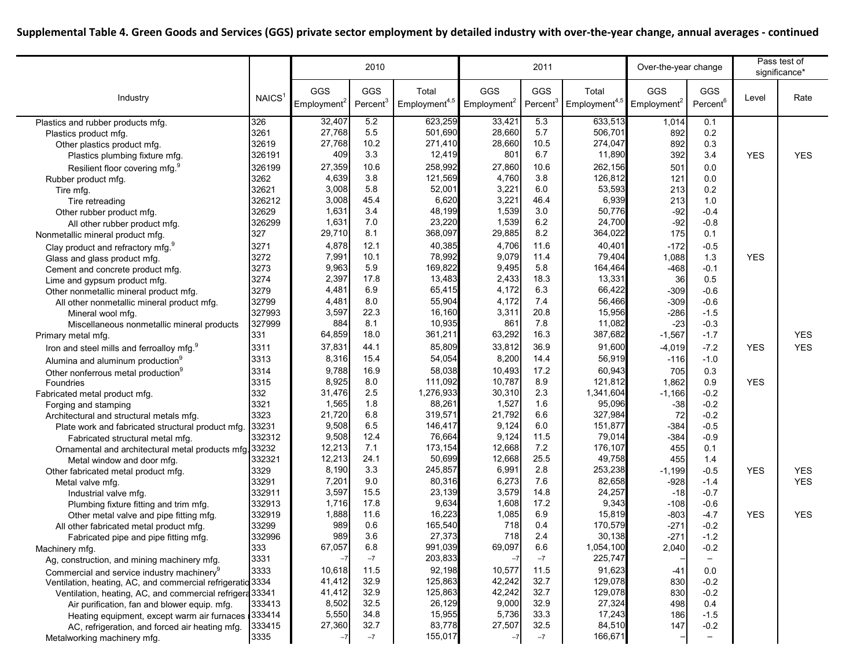|                                                            |                    | 2010                           |                             |                                    |                                | 2011                        |                                    | Over-the-year change           |                             | Pass test of<br>significance* |            |
|------------------------------------------------------------|--------------------|--------------------------------|-----------------------------|------------------------------------|--------------------------------|-----------------------------|------------------------------------|--------------------------------|-----------------------------|-------------------------------|------------|
| Industry                                                   | NAICS <sup>1</sup> | GGS<br>Employment <sup>2</sup> | GGS<br>Percent <sup>3</sup> | Total<br>Employment <sup>4,5</sup> | GGS<br>Employment <sup>2</sup> | GGS<br>Percent <sup>3</sup> | Total<br>Employment <sup>4,5</sup> | GGS<br>Employment <sup>2</sup> | GGS<br>Percent <sup>6</sup> | Level                         | Rate       |
| Plastics and rubber products mfg.                          | 326                | 32,407                         | 5.2                         | 623,259                            | 33,421                         | 5.3                         | 633,513                            | 1,014                          | 0.1                         |                               |            |
| Plastics product mfg.                                      | 3261               | 27,768                         | 5.5                         | 501,690                            | 28,660                         | 5.7                         | 506,701                            | 892                            | 0.2                         |                               |            |
| Other plastics product mfg.                                | 32619              | 27,768                         | 10.2                        | 271,410                            | 28,660                         | 10.5                        | 274,047                            | 892                            | 0.3                         |                               |            |
| Plastics plumbing fixture mfg.                             | 326191             | 409                            | 3.3                         | 12,419                             | 801                            | 6.7                         | 11,890                             | 392                            | 3.4                         | <b>YES</b>                    | <b>YES</b> |
| Resilient floor covering mfg.                              | 326199             | 27,359                         | 10.6                        | 258,992                            | 27,860                         | 10.6                        | 262,156                            | 501                            | 0.0                         |                               |            |
| Rubber product mfg.                                        | 3262               | 4,639                          | 3.8                         | 121,569                            | 4,760                          | 3.8                         | 126,812                            | 121                            | 0.0                         |                               |            |
| Tire mfg.                                                  | 32621              | 3,008                          | 5.8                         | 52,001                             | 3,221                          | 6.0                         | 53,593                             | 213                            | 0.2                         |                               |            |
| Tire retreading                                            | 326212             | 3,008                          | 45.4                        | 6,620                              | 3,221                          | 46.4                        | 6,939                              | 213                            | 1.0                         |                               |            |
| Other rubber product mfg.                                  | 32629              | 1,631                          | 3.4                         | 48,199                             | 1,539                          | 3.0                         | 50,776                             | $-92$                          | $-0.4$                      |                               |            |
| All other rubber product mfg.                              | 326299             | 1,631                          | 7.0                         | 23,220                             | 1,539                          | 6.2                         | 24,700                             | $-92$                          | $-0.8$                      |                               |            |
| Nonmetallic mineral product mfg.                           | 327                | 29,710                         | 8.1                         | 368,097                            | 29,885                         | 8.2                         | 364,022                            | 175                            | 0.1                         |                               |            |
| Clay product and refractory mfg. <sup>9</sup>              | 3271               | 4,878                          | 12.1                        | 40,385                             | 4,706                          | 11.6                        | 40,401                             | $-172$                         | $-0.5$                      |                               |            |
| Glass and glass product mfg.                               | 3272               | 7,991                          | 10.1                        | 78,992                             | 9,079                          | 11.4                        | 79,404                             | 1,088                          | 1.3                         | <b>YES</b>                    |            |
| Cement and concrete product mfg.                           | 3273               | 9,963                          | 5.9                         | 169,822                            | 9,495                          | 5.8                         | 164,464                            | $-468$                         | $-0.1$                      |                               |            |
| Lime and gypsum product mfg.                               | 3274               | 2,397                          | 17.8                        | 13,483                             | 2,433                          | 18.3                        | 13,331                             | 36                             | 0.5                         |                               |            |
| Other nonmetallic mineral product mfg.                     | 3279               | 4,481                          | 6.9                         | 65,415                             | 4,172                          | 6.3                         | 66,422                             | $-309$                         | $-0.6$                      |                               |            |
| All other nonmetallic mineral product mfg.                 | 32799              | 4,481                          | 8.0                         | 55,904                             | 4,172                          | 7.4                         | 56,466                             | $-309$                         | $-0.6$                      |                               |            |
| Mineral wool mfg.                                          | 327993             | 3,597                          | 22.3                        | 16,160                             | 3,311                          | 20.8                        | 15,956                             | $-286$                         | $-1.5$                      |                               |            |
| Miscellaneous nonmetallic mineral products                 | 327999             | 884                            | 8.1                         | 10,935                             | 861                            | 7.8                         | 11,082                             | $-23$                          | $-0.3$                      |                               |            |
| Primary metal mfg.                                         | 331                | 64,859                         | 18.0                        | 361,211                            | 63,292                         | 16.3                        | 387,682                            | $-1,567$                       | $-1.7$                      |                               | <b>YES</b> |
| Iron and steel mills and ferroalloy mfg. <sup>9</sup>      | 3311               | 37,831                         | 44.1                        | 85,809                             | 33,812                         | 36.9                        | 91,600                             | $-4,019$                       | $-7.2$                      | <b>YES</b>                    | <b>YES</b> |
|                                                            | 3313               | 8,316                          | 15.4                        | 54,054                             | 8,200                          | 14.4                        | 56,919                             | $-116$                         | $-1.0$                      |                               |            |
| Alumina and aluminum production <sup>9</sup>               | 3314               | 9,788                          | 16.9                        | 58,038                             | 10,493                         | 17.2                        | 60,943                             | 705                            | 0.3                         |                               |            |
| Other nonferrous metal production <sup>9</sup>             | 3315               | 8,925                          | 8.0                         | 111,092                            | 10,787                         | 8.9                         | 121,812                            | 1,862                          | 0.9                         | <b>YES</b>                    |            |
| Foundries                                                  |                    | 31,476                         | 2.5                         | 1,276,933                          | 30,310                         | 2.3                         | 1,341,604                          | $-1,166$                       | $-0.2$                      |                               |            |
| Fabricated metal product mfg.                              | 332<br>3321        | 1,565                          | 1.8                         | 88,261                             | 1,527                          | 1.6                         | 95,096                             | $-38$                          | $-0.2$                      |                               |            |
| Forging and stamping                                       | 3323               | 21,720                         | 6.8                         | 319,571                            | 21,792                         | 6.6                         | 327,984                            | 72                             | $-0.2$                      |                               |            |
| Architectural and structural metals mfg.                   |                    | 9,508                          | 6.5                         | 146,417                            | 9,124                          | 6.0                         | 151,877                            | $-384$                         | $-0.5$                      |                               |            |
| Plate work and fabricated structural product mfg.          | 33231              | 9,508                          | 12.4                        | 76,664                             | 9,124                          | 11.5                        | 79,014                             |                                |                             |                               |            |
| Fabricated structural metal mfg.                           | 332312             | 12,213                         | 7.1                         | 173,154                            | 12,668                         | 7.2                         | 176,107                            | $-384$<br>455                  | $-0.9$<br>0.1               |                               |            |
| Ornamental and architectural metal products mfg. 33232     | 332321             | 12,213                         | 24.1                        | 50,699                             | 12,668                         | 25.5                        | 49,758                             | 455                            | 1.4                         |                               |            |
| Metal window and door mfg.                                 | 3329               | 8,190                          | 3.3                         | 245,857                            | 6,991                          | 2.8                         | 253,238                            | $-1,199$                       | $-0.5$                      | <b>YES</b>                    | <b>YES</b> |
| Other fabricated metal product mfg.                        | 33291              | 7,201                          | 9.0                         | 80,316                             | 6,273                          | 7.6                         | 82,658                             | $-928$                         | $-1.4$                      |                               | <b>YES</b> |
| Metal valve mfg.                                           | 332911             | 3,597                          | 15.5                        | 23,139                             | 3,579                          | 14.8                        | 24,257                             | $-18$                          | $-0.7$                      |                               |            |
| Industrial valve mfg.                                      | 332913             | 1,716                          | 17.8                        | 9,634                              | 1,608                          | 17.2                        | 9,343                              | $-108$                         | $-0.6$                      |                               |            |
| Plumbing fixture fitting and trim mfg.                     | 332919             | 1,888                          | 11.6                        | 16,223                             | 1,085                          | 6.9                         | 15,819                             | $-803$                         | $-4.7$                      | <b>YES</b>                    | <b>YES</b> |
| Other metal valve and pipe fitting mfg.                    | 33299              | 989                            | 0.6                         | 165,540                            | 718                            | 0.4                         | 170,579                            | $-271$                         | $-0.2$                      |                               |            |
| All other fabricated metal product mfg.                    | 332996             | 989                            | 3.6                         | 27,373                             | 718                            | 2.4                         | 30,138                             | $-271$                         | $-1.2$                      |                               |            |
| Fabricated pipe and pipe fitting mfg.                      | 333                | 67,057                         | 6.8                         | 991,039                            | 69,097                         | 6.6                         | 1,054,100                          | 2,040                          | $-0.2$                      |                               |            |
| Machinery mfg.                                             | 3331               | $-7$                           | $-7$                        | 203,833                            |                                | $-7$                        | 225,747                            |                                |                             |                               |            |
| Ag, construction, and mining machinery mfg.                |                    | 10,618                         | 11.5                        | 92,198                             | 10,577                         | 11.5                        | 91,623                             | $-41$                          | 0.0                         |                               |            |
| Commercial and service industry machinery <sup>9</sup>     | 3333               |                                | 32.9                        | 125,863                            | 42,242                         | 32.7                        | 129,078                            |                                |                             |                               |            |
| Ventilation, heating, AC, and commercial refrigeratio 3334 |                    | 41,412                         | 32.9                        | 125,863                            | 42,242                         | 32.7                        | 129,078                            | 830                            | $-0.2$                      |                               |            |
| Ventilation, heating, AC, and commercial refrigera 33341   |                    | 41,412<br>8,502                | 32.5                        | 26,129                             | 9,000                          | 32.9                        | 27,324                             | 830                            | $-0.2$                      |                               |            |
| Air purification, fan and blower equip. mfg.               | 333413             | 5,550                          | 34.8                        | 15,955                             |                                | 33.3                        | 17,243                             | 498                            | 0.4                         |                               |            |
| Heating equipment, except warm air furnaces 333414         |                    | 27,360                         | 32.7                        | 83,778                             | 5,736<br>27,507                | 32.5                        | 84,510                             | 186                            | $-1.5$                      |                               |            |
| AC, refrigeration, and forced air heating mfg.             | 333415             |                                |                             | 155,017                            |                                | $-7$                        | 166,671                            | 147                            | $-0.2$                      |                               |            |
| Metalworking machinery mfg.                                | 3335               | $-7$                           | $-7$                        |                                    | $-7$                           |                             |                                    |                                |                             |                               |            |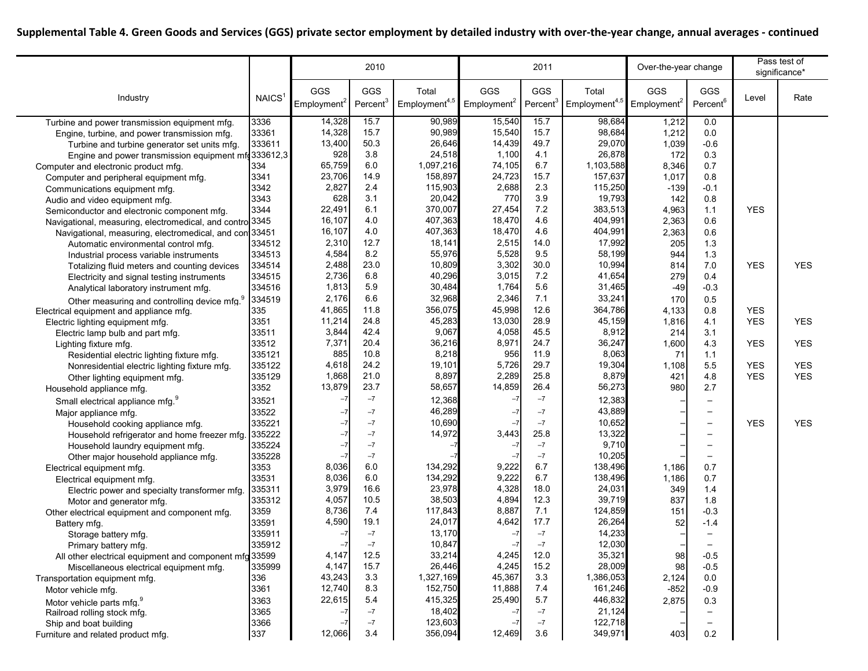|                                                          |                    | 2010                           |                             |                                    |                                | 2011                        |                                    | Over-the-year change           |                             | Pass test of<br>significance* |            |
|----------------------------------------------------------|--------------------|--------------------------------|-----------------------------|------------------------------------|--------------------------------|-----------------------------|------------------------------------|--------------------------------|-----------------------------|-------------------------------|------------|
| Industry                                                 | NAICS <sup>1</sup> | GGS<br>Employment <sup>2</sup> | GGS<br>Percent <sup>3</sup> | Total<br>Employment <sup>4,4</sup> | GGS<br>Employment <sup>2</sup> | GGS<br>Percent <sup>3</sup> | Total<br>Employment <sup>4,5</sup> | GGS<br>Employment <sup>2</sup> | GGS<br>Percent <sup>6</sup> | Level                         | Rate       |
| Turbine and power transmission equipment mfg.            | 3336               | 14,328                         | 15.7                        | 90,989                             | 15,540                         | 15.7                        | 98,684                             | 1,212                          | 0.0                         |                               |            |
| Engine, turbine, and power transmission mfg.             | 33361              | 14,328                         | 15.7                        | 90,989                             | 15,540                         | 15.7                        | 98,684                             | 1,212                          | 0.0                         |                               |            |
| Turbine and turbine generator set units mfg.             | 333611             | 13,400                         | 50.3                        | 26,646                             | 14,439                         | 49.7                        | 29,070                             | 1,039                          | $-0.6$                      |                               |            |
| Engine and power transmission equipment mfd 333612,3     |                    | 928                            | 3.8                         | 24,518                             | 1,100                          | 4.1                         | 26,878                             | 172                            | 0.3                         |                               |            |
| Computer and electronic product mfg.                     | 334                | 65,759                         | 6.0                         | 1,097,216                          | 74,105                         | 6.7                         | 1,103,588                          | 8,346                          | 0.7                         |                               |            |
| Computer and peripheral equipment mfg.                   | 3341               | 23,706                         | 14.9                        | 158,897                            | 24,723                         | 15.7                        | 157,637                            | 1,017                          | 0.8                         |                               |            |
| Communications equipment mfg.                            | 3342               | 2,827                          | 2.4                         | 115,903                            | 2,688                          | 2.3                         | 115,250                            | $-139$                         | $-0.1$                      |                               |            |
| Audio and video equipment mfg.                           | 3343               | 628                            | 3.1                         | 20,042                             | 770                            | 3.9                         | 19,793                             | 142                            | 0.8                         |                               |            |
| Semiconductor and electronic component mfg.              | 3344               | 22,491                         | 6.1                         | 370,007                            | 27,454                         | 7.2                         | 383,513                            | 4,963                          | 1.1                         | <b>YES</b>                    |            |
| Navigational, measuring, electromedical, and contro 3345 |                    | 16,107                         | 4.0                         | 407,363                            | 18,470                         | 4.6                         | 404,991                            | 2,363                          | 0.6                         |                               |            |
| Navigational, measuring, electromedical, and con 33451   |                    | 16,107                         | 4.0                         | 407,363                            | 18,470                         | 4.6                         | 404,991                            | 2,363                          | 0.6                         |                               |            |
| Automatic environmental control mfg.                     | 334512             | 2,310                          | 12.7                        | 18,141                             | 2,515                          | 14.0                        | 17,992                             | 205                            | 1.3                         |                               |            |
| Industrial process variable instruments                  | 334513             | 4,584                          | 8.2                         | 55,976                             | 5,528                          | 9.5                         | 58,199                             | 944                            | 1.3                         |                               |            |
| Totalizing fluid meters and counting devices             | 334514             | 2,488                          | 23.0                        | 10,809                             | 3,302                          | 30.0                        | 10,994                             | 814                            | 7.0                         | <b>YES</b>                    | <b>YES</b> |
| Electricity and signal testing instruments               | 334515             | 2,736                          | 6.8                         | 40,296                             | 3,015                          | 7.2                         | 41,654                             | 279                            | 0.4                         |                               |            |
| Analytical laboratory instrument mfg.                    | 334516             | 1,813                          | 5.9                         | 30,484                             | 1,764                          | 5.6                         | 31,465                             | $-49$                          | $-0.3$                      |                               |            |
| Other measuring and controlling device mfg. <sup>9</sup> | 334519             | 2,176                          | 6.6                         | 32,968                             | 2,346                          | 7.1                         | 33,241                             | 170                            | 0.5                         |                               |            |
| Electrical equipment and appliance mfg.                  | 335                | 41,865                         | 11.8                        | 356,075                            | 45,998                         | 12.6                        | 364,786                            | 4,133                          | 0.8                         | <b>YES</b>                    |            |
| Electric lighting equipment mfg.                         | 3351               | 11,214                         | 24.8                        | 45,283                             | 13,030                         | 28.9                        | 45,159                             | 1,816                          | 4.1                         | <b>YES</b>                    | <b>YES</b> |
| Electric lamp bulb and part mfg.                         | 33511              | 3,844                          | 42.4                        | 9,067                              | 4,058                          | 45.5                        | 8,912                              | 214                            | 3.1                         |                               |            |
| Lighting fixture mfg.                                    | 33512              | 7,371                          | 20.4                        | 36,216                             | 8,971                          | 24.7                        | 36,247                             | 1,600                          | 4.3                         | <b>YES</b>                    | <b>YES</b> |
| Residential electric lighting fixture mfg.               | 335121             | 885                            | 10.8                        | 8,218                              | 956                            | 11.9                        | 8,063                              | 71                             | 1.1                         |                               |            |
| Nonresidential electric lighting fixture mfg.            | 335122             | 4,618                          | 24.2                        | 19,101                             | 5,726                          | 29.7                        | 19,304                             | 1,108                          | 5.5                         | <b>YES</b>                    | <b>YES</b> |
| Other lighting equipment mfg.                            | 335129             | 1,868                          | 21.0                        | 8,897                              | 2,289                          | 25.8                        | 8,879                              | 421                            | 4.8                         | <b>YES</b>                    | <b>YES</b> |
| Household appliance mfg.                                 | 3352               | 13,879                         | 23.7                        | 58,657                             | 14,859                         | 26.4                        | 56,273                             | 980                            | 2.7                         |                               |            |
| Small electrical appliance mfg. <sup>9</sup>             | 33521              |                                | $-7$                        | 12,368                             |                                | $-7$                        | 12,383                             |                                | $\overline{\phantom{0}}$    |                               |            |
|                                                          | 33522              | $-7$                           | $-7$                        | 46,289                             |                                | $-7$                        | 43,889                             |                                |                             |                               |            |
| Major appliance mfg.<br>Household cooking appliance mfg. | 335221             | $-7$                           | $-7$                        | 10,690                             |                                | $-7$                        | 10,652                             |                                | $\overline{\phantom{0}}$    | <b>YES</b>                    | <b>YES</b> |
|                                                          | 335222             | $-7$                           | $-7$                        | 14,972                             | 3,443                          | 25.8                        | 13,322                             |                                | $\overline{\phantom{0}}$    |                               |            |
| Household refrigerator and home freezer mfg              | 335224             | $-7$                           | $-7$                        |                                    |                                | $-7$                        | 9,710                              |                                | $\overline{\phantom{0}}$    |                               |            |
| Household laundry equipment mfg.                         | 335228             | $-7$                           | $-7$                        |                                    |                                | $-7$                        | 10,205                             |                                | $\overline{\phantom{0}}$    |                               |            |
| Other major household appliance mfg.                     | 3353               | 8,036                          | 6.0                         | 134,292                            | 9,222                          | 6.7                         | 138,496                            | 1,186                          | 0.7                         |                               |            |
| Electrical equipment mfg.                                | 33531              | 8,036                          | 6.0                         | 134,292                            | 9,222                          | 6.7                         | 138,496                            | 1,186                          | 0.7                         |                               |            |
| Electrical equipment mfg.                                | 335311             | 3,979                          | 16.6                        | 23,978                             | 4,328                          | 18.0                        | 24,031                             | 349                            | 1.4                         |                               |            |
| Electric power and specialty transformer mfg.            | 335312             | 4,057                          | 10.5                        | 38,503                             | 4,894                          | 12.3                        | 39,719                             | 837                            | 1.8                         |                               |            |
| Motor and generator mfg.                                 | 3359               | 8,736                          | 7.4                         | 117,843                            | 8,887                          | 7.1                         | 124,859                            | 151                            | $-0.3$                      |                               |            |
| Other electrical equipment and component mfg.            | 33591              | 4,590                          | 19.1                        | 24,017                             | 4,642                          | 17.7                        | 26,264                             | 52                             | $-1.4$                      |                               |            |
| Battery mfg.                                             | 335911             | $-7$                           | $-7$                        | 13,170                             |                                | $-7$                        | 14,233                             |                                |                             |                               |            |
| Storage battery mfg.                                     |                    |                                | $-7$                        | 10,847                             |                                |                             | 12,030                             |                                |                             |                               |            |
| Primary battery mfg.                                     | 335912             | 4,147                          | 12.5                        | 33,214                             | 4,245                          | $-7$<br>12.0                | 35,321                             |                                | $-0.5$                      |                               |            |
| All other electrical equipment and component mfg 33599   | 335999             | 4,147                          | 15.7                        | 26,446                             | 4,245                          | 15.2                        | 28,009                             | 98<br>98                       | $-0.5$                      |                               |            |
| Miscellaneous electrical equipment mfg.                  |                    | 43,243                         | 3.3                         | 1,327,169                          | 45,367                         | 3.3                         |                                    | 2,124                          |                             |                               |            |
| Transportation equipment mfg.                            | 336                | 12,740                         | 8.3                         | 152,750                            | 11,888                         | 7.4                         | 1,386,053<br>161,246               | $-852$                         | 0.0<br>$-0.9$               |                               |            |
| Motor vehicle mfg.                                       | 3361               |                                | 5.4                         |                                    |                                | 5.7                         | 446,832                            |                                |                             |                               |            |
| Motor vehicle parts mfg. <sup>9</sup>                    | 3363               | 22,615                         |                             | 415,325                            | 25,490                         |                             |                                    | 2,875                          | 0.3                         |                               |            |
| Railroad rolling stock mfg.                              | 3365               | $-7$<br>$-7$                   | $-7$                        | 18,402<br>123,603                  |                                | $-7$                        | 21,124<br>122,718                  |                                |                             |                               |            |
| Ship and boat building                                   | 3366               |                                | $-7$                        |                                    |                                | $-7$                        |                                    |                                |                             |                               |            |
| Furniture and related product mfg.                       | 337                | 12,066                         | 3.4                         | 356,094                            | 12,469                         | 3.6                         | 349,971                            | 403                            | 0.2                         |                               |            |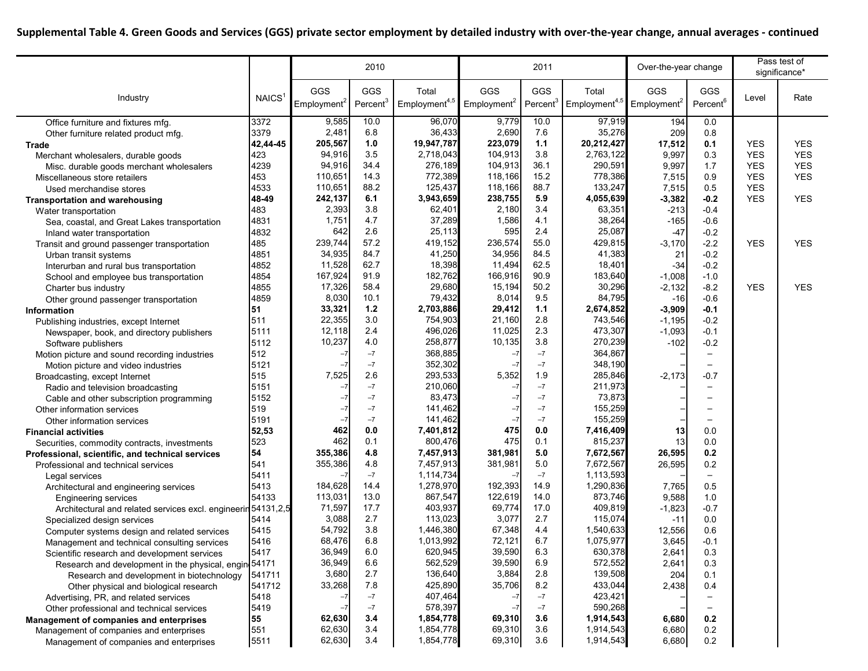|                                                               |                    | 2010                    |                      |                           |                         | 2011                 |                           | Over-the-year change    |                          | Pass test of<br>significance* |            |
|---------------------------------------------------------------|--------------------|-------------------------|----------------------|---------------------------|-------------------------|----------------------|---------------------------|-------------------------|--------------------------|-------------------------------|------------|
|                                                               |                    | GGS                     | <b>GGS</b>           | Total                     | GGS                     | GGS                  | Total                     | GGS                     | <b>GGS</b>               |                               |            |
| Industry                                                      | NAICS <sup>1</sup> | Employment <sup>2</sup> | Percent <sup>3</sup> | Employment <sup>4,5</sup> | Employment <sup>2</sup> | Percent <sup>3</sup> | Employment <sup>4,5</sup> | Employment <sup>2</sup> | Percent <sup>6</sup>     | Level                         | Rate       |
|                                                               |                    |                         |                      |                           |                         |                      |                           |                         |                          |                               |            |
| Office furniture and fixtures mfg.                            | 3372               | 9,585                   | 10.0<br>6.8          | 96,070                    | 9,779                   | 10.0<br>7.6          | 97,919                    | 194                     | 0.0                      |                               |            |
| Other furniture related product mfg.                          | 3379               | 2,481<br>205,567        | 1.0                  | 36,433<br>19,947,787      | 2,690<br>223,079        | $1.1$                | 35,276<br>20,212,427      | 209                     | 0.8<br>0.1               | <b>YES</b>                    |            |
| <b>Trade</b>                                                  | 42,44-45           | 94,916                  | 3.5                  | 2,718,043                 | 104,913                 | 3.8                  | 2,763,122                 | 17,512                  |                          |                               | <b>YES</b> |
| Merchant wholesalers, durable goods                           | 423                |                         |                      |                           |                         |                      | 290,591                   | 9,997                   | 0.3                      | <b>YES</b>                    | <b>YES</b> |
| Misc. durable goods merchant wholesalers                      | 4239               | 94,916                  | 34.4<br>14.3         | 276,189                   | 104,913                 | 36.1<br>15.2         |                           | 9,997                   | 1.7                      | <b>YES</b>                    | <b>YES</b> |
| Miscellaneous store retailers                                 | 453                | 110,651                 | 88.2                 | 772,389                   | 118,166                 | 88.7                 | 778,386                   | 7,515                   | 0.9                      | <b>YES</b>                    | <b>YES</b> |
| Used merchandise stores                                       | 4533               | 110,651                 |                      | 125,437                   | 118,166                 |                      | 133,247                   | 7,515                   | 0.5                      | <b>YES</b>                    |            |
| <b>Transportation and warehousing</b>                         | 48-49              | 242,137                 | 6.1                  | 3,943,659                 | 238,755                 | 5.9                  | 4,055,639                 | $-3,382$                | $-0.2$                   | <b>YES</b>                    | <b>YES</b> |
| Water transportation                                          | 483                | 2,393                   | 3.8                  | 62,401                    | 2,180                   | 3.4                  | 63,351                    | $-213$                  | $-0.4$                   |                               |            |
| Sea, coastal, and Great Lakes transportation                  | 4831               | 1,751                   | 4.7                  | 37,289                    | 1,586                   | 4.1                  | 38,264                    | $-165$                  | $-0.6$                   |                               |            |
| Inland water transportation                                   | 4832               | 642                     | 2.6                  | 25,113                    | 595                     | 2.4                  | 25,087                    | $-47$                   | $-0.2$                   |                               |            |
| Transit and ground passenger transportation                   | 485                | 239,744                 | 57.2                 | 419,152                   | 236,574                 | 55.0                 | 429,815                   | $-3,170$                | $-2.2$                   | <b>YES</b>                    | <b>YES</b> |
| Urban transit systems                                         | 4851               | 34,935                  | 84.7                 | 41,250                    | 34,956                  | 84.5                 | 41,383                    | 21                      | $-0.2$                   |                               |            |
| Interurban and rural bus transportation                       | 4852               | 11,528                  | 62.7                 | 18,398                    | 11,494                  | 62.5                 | 18,401                    | $-34$                   | $-0.2$                   |                               |            |
| School and employee bus transportation                        | 4854               | 167,924                 | 91.9                 | 182,762                   | 166,916                 | 90.9                 | 183,640                   | $-1,008$                | $-1.0$                   |                               |            |
| Charter bus industry                                          | 4855               | 17,326                  | 58.4                 | 29,680                    | 15, 194                 | 50.2                 | 30,296                    | $-2,132$                | $-8.2$                   | <b>YES</b>                    | <b>YES</b> |
| Other ground passenger transportation                         | 4859               | 8,030                   | 10.1                 | 79,432                    | 8,014                   | 9.5                  | 84,795                    | -16                     | $-0.6$                   |                               |            |
| Information                                                   | 51                 | 33,321                  | $1.2$                | 2,703,886                 | 29,412                  | $1.1$                | 2,674,852                 | $-3,909$                | -0.1                     |                               |            |
| Publishing industries, except Internet                        | 511                | 22,355                  | 3.0                  | 754,903                   | 21,160                  | 2.8                  | 743,546                   | $-1,195$                | $-0.2$                   |                               |            |
| Newspaper, book, and directory publishers                     | 5111               | 12,118                  | 2.4                  | 496,026                   | 11,025                  | 2.3                  | 473,307                   | $-1,093$                | $-0.1$                   |                               |            |
| Software publishers                                           | 5112               | 10,237                  | 4.0                  | 258,877                   | 10, 135                 | 3.8                  | 270,239                   | $-102$                  | $-0.2$                   |                               |            |
| Motion picture and sound recording industries                 | 512                | $-7$                    | $-7$                 | 368,885                   |                         | $-7$                 | 364,867                   |                         |                          |                               |            |
| Motion picture and video industries                           | 5121               | -7                      | $-7$                 | 352,302                   |                         | $-7$                 | 348,190                   |                         | $\overline{\phantom{0}}$ |                               |            |
| Broadcasting, except Internet                                 | 515                | 7,525                   | 2.6                  | 293,533                   | 5,352                   | 1.9                  | 285,846                   | $-2,173$                | $-0.7$                   |                               |            |
| Radio and television broadcasting                             | 5151               | $-7$                    | $-7$                 | 210,060                   |                         | $-7$                 | 211,973                   |                         | $\overline{\phantom{0}}$ |                               |            |
| Cable and other subscription programming                      | 5152               | $-7$                    | $-7$                 | 83,473                    |                         | $-7$                 | 73,873                    |                         |                          |                               |            |
| Other information services                                    | 519                | $-7$                    | $-7$                 | 141,462                   |                         | $-7$                 | 155,259                   |                         | $\overline{\phantom{0}}$ |                               |            |
| Other information services                                    | 5191               | $-7$                    | $-7$                 | 141,462                   |                         | $-7$                 | 155,259                   |                         |                          |                               |            |
| <b>Financial activities</b>                                   | 52,53              | 462                     | 0.0                  | 7,401,812                 | 475                     | 0.0                  | 7,416,409                 | 13                      | 0.0                      |                               |            |
| Securities, commodity contracts, investments                  | 523                | 462                     | 0.1                  | 800,476                   | 475                     | 0.1                  | 815,237                   | 13                      | 0.0                      |                               |            |
| Professional, scientific, and technical services              | 54                 | 355,386                 | 4.8                  | 7,457,913                 | 381,981                 | 5.0                  | 7,672,567                 | 26,595                  | 0.2                      |                               |            |
| Professional and technical services                           | 541                | 355,386                 | 4.8                  | 7,457,913                 | 381,981                 | 5.0                  | 7,672,567                 | 26,595                  | 0.2                      |                               |            |
| Legal services                                                | 5411               |                         | $-7$                 | 1,114,734                 |                         | $-7$                 | 1,113,593                 |                         |                          |                               |            |
| Architectural and engineering services                        | 5413               | 184,628                 | 14.4                 | 1,278,970                 | 192,393                 | 14.9                 | 1,290,836                 | 7,765                   | 0.5                      |                               |            |
| Engineering services                                          | 54133              | 113,031                 | 13.0                 | 867,547                   | 122,619                 | 14.0                 | 873,746                   | 9,588                   | 1.0                      |                               |            |
| Architectural and related services excl. engineerin 54131,2,5 |                    | 71,597                  | 17.7                 | 403,937                   | 69,774                  | 17.0                 | 409,819                   | $-1,823$                | $-0.7$                   |                               |            |
| Specialized design services                                   | 5414               | 3,088                   | 2.7                  | 113,023                   | 3,077                   | 2.7                  | 115,074                   | $-11$                   | 0.0                      |                               |            |
| Computer systems design and related services                  | 5415               | 54,792                  | 3.8                  | 1,446,380                 | 67,348                  | 4.4                  | 1,540,633                 | 12,556                  | 0.6                      |                               |            |
| Management and technical consulting services                  | 5416               | 68,476                  | 6.8                  | 1.013.992                 | 72,121                  | 6.7                  | 1,075,977                 | 3,645                   | $-0.1$                   |                               |            |
| Scientific research and development services                  | 5417               | 36,949                  | 6.0                  | 620,945                   | 39,590                  | 6.3                  | 630,378                   | 2,641                   | 0.3                      |                               |            |
| Research and development in the physical, engin 54171         |                    | 36,949                  | 6.6                  | 562,529                   | 39,590                  | 6.9                  | 572,552                   | 2,641                   | 0.3                      |                               |            |
| Research and development in biotechnology                     | 541711             | 3,680                   | 2.7                  | 136,640                   | 3,884                   | 2.8                  | 139,508                   | 204                     | 0.1                      |                               |            |
| Other physical and biological research                        | 541712             | 33,268                  | 7.8                  | 425,890                   | 35,706                  | 8.2                  | 433,044                   | 2,438                   | 0.4                      |                               |            |
| Advertising, PR, and related services                         | 5418               |                         | $-7$                 | 407,464                   |                         | $-7$                 | 423,421                   |                         |                          |                               |            |
| Other professional and technical services                     | 5419               |                         | $-7$                 | 578,397                   |                         | $-7$                 | 590,268                   |                         |                          |                               |            |
| Management of companies and enterprises                       | 55                 | 62,630                  | 3.4                  | 1,854,778                 | 69,310                  | 3.6                  | 1,914,543                 | 6,680                   | 0.2                      |                               |            |
| Management of companies and enterprises                       | 551                | 62,630                  | 3.4                  | 1,854,778                 | 69,310                  | 3.6                  | 1,914,543                 | 6,680                   | 0.2                      |                               |            |
| Management of companies and enterprises                       | 5511               | 62,630                  | 3.4                  | 1,854,778                 | 69,310                  | 3.6                  | 1,914,543                 | 6,680                   | $0.2\,$                  |                               |            |